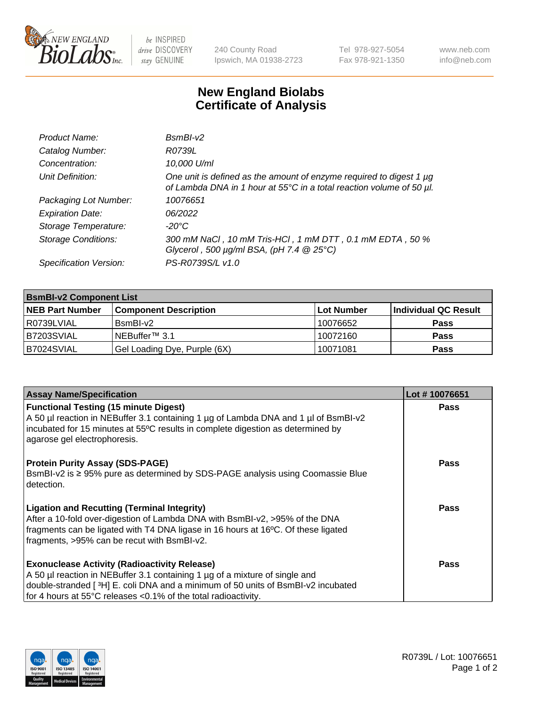

be INSPIRED drive DISCOVERY stay GENUINE

240 County Road Ipswich, MA 01938-2723 Tel 978-927-5054 Fax 978-921-1350 www.neb.com info@neb.com

## **New England Biolabs Certificate of Analysis**

| Product Name:              | $BsmBI-v2$                                                                                                                                  |
|----------------------------|---------------------------------------------------------------------------------------------------------------------------------------------|
| Catalog Number:            | R0739L                                                                                                                                      |
| Concentration:             | 10,000 U/ml                                                                                                                                 |
| Unit Definition:           | One unit is defined as the amount of enzyme required to digest 1 µg<br>of Lambda DNA in 1 hour at 55°C in a total reaction volume of 50 µl. |
| Packaging Lot Number:      | 10076651                                                                                                                                    |
| <b>Expiration Date:</b>    | 06/2022                                                                                                                                     |
| Storage Temperature:       | $-20^{\circ}$ C                                                                                                                             |
| <b>Storage Conditions:</b> | 300 mM NaCl, 10 mM Tris-HCl, 1 mM DTT, 0.1 mM EDTA, 50 %<br>Glycerol, 500 $\mu$ g/ml BSA, (pH 7.4 $@25°C$ )                                 |
| Specification Version:     | PS-R0739S/L v1.0                                                                                                                            |

| <b>BsmBI-v2 Component List</b> |                              |                   |                      |  |  |
|--------------------------------|------------------------------|-------------------|----------------------|--|--|
| <b>NEB Part Number</b>         | <b>Component Description</b> | <b>Lot Number</b> | Individual QC Result |  |  |
| R0739LVIAL                     | BsmBI-v2                     | 10076652          | <b>Pass</b>          |  |  |
| B7203SVIAL                     | INEBuffer™ 3.1               | 10072160          | <b>Pass</b>          |  |  |
| B7024SVIAL                     | Gel Loading Dye, Purple (6X) | 10071081          | <b>Pass</b>          |  |  |

| <b>Assay Name/Specification</b>                                                                                                                                                                        | Lot #10076651 |
|--------------------------------------------------------------------------------------------------------------------------------------------------------------------------------------------------------|---------------|
| <b>Functional Testing (15 minute Digest)</b>                                                                                                                                                           | <b>Pass</b>   |
| A 50 µl reaction in NEBuffer 3.1 containing 1 µg of Lambda DNA and 1 µl of BsmBI-v2<br>incubated for 15 minutes at 55°C results in complete digestion as determined by<br>agarose gel electrophoresis. |               |
| <b>Protein Purity Assay (SDS-PAGE)</b>                                                                                                                                                                 | <b>Pass</b>   |
| BsmBI-v2 is ≥ 95% pure as determined by SDS-PAGE analysis using Coomassie Blue<br>l detection.                                                                                                         |               |
| <b>Ligation and Recutting (Terminal Integrity)</b>                                                                                                                                                     | Pass          |
| After a 10-fold over-digestion of Lambda DNA with BsmBI-v2, >95% of the DNA                                                                                                                            |               |
| fragments can be ligated with T4 DNA ligase in 16 hours at 16°C. Of these ligated                                                                                                                      |               |
| fragments, >95% can be recut with BsmBI-v2.                                                                                                                                                            |               |
| <b>Exonuclease Activity (Radioactivity Release)</b>                                                                                                                                                    | <b>Pass</b>   |
| A 50 µl reaction in NEBuffer 3.1 containing 1 µg of a mixture of single and                                                                                                                            |               |
| double-stranded [3H] E. coli DNA and a minimum of 50 units of BsmBI-v2 incubated                                                                                                                       |               |
| for 4 hours at 55°C releases <0.1% of the total radioactivity.                                                                                                                                         |               |